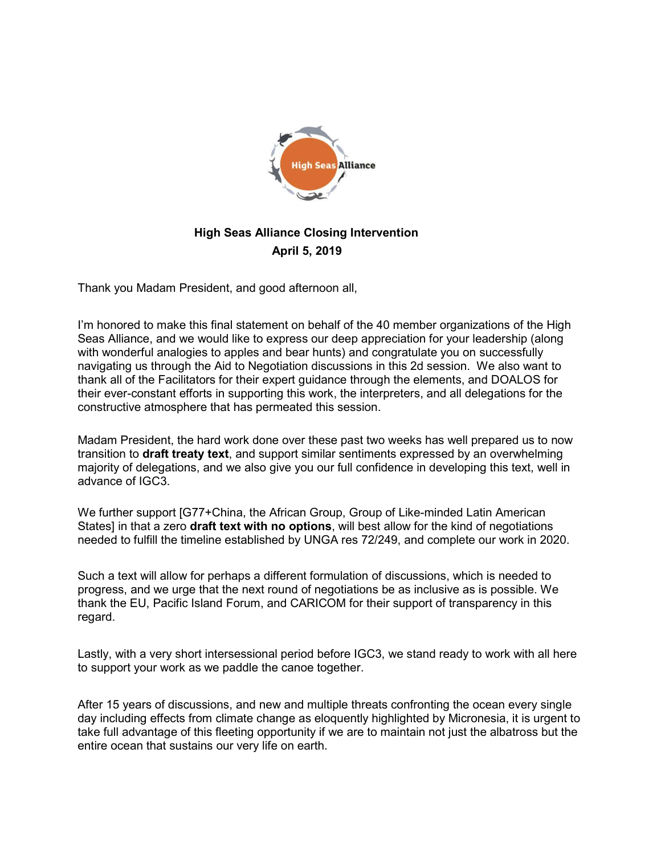

## High Seas Alliance Closing Intervention April 5, 2019

Thank you Madam President, and good afternoon all,

I'm honored to make this final statement on behalf of the 40 member organizations of the High Seas Alliance, and we would like to express our deep appreciation for your leadership (along with wonderful analogies to apples and bear hunts) and congratulate you on successfully navigating us through the Aid to Negotiation discussions in this 2d session. We also want to thank all of the Facilitators for their expert guidance through the elements, and DOALOS for their ever-constant efforts in supporting this work, the interpreters, and all delegations for the constructive atmosphere that has permeated this session.

Madam President, the hard work done over these past two weeks has well prepared us to now transition to **draft treaty text**, and support similar sentiments expressed by an overwhelming majority of delegations, and we also give you our full confidence in developing this text, well in advance of IGC3.

We further support [G77+China, the African Group, Group of Like-minded Latin American States] in that a zero **draft text with no options**, will best allow for the kind of negotiations needed to fulfill the timeline established by UNGA res 72/249, and complete our work in 2020.

Such a text will allow for perhaps a different formulation of discussions, which is needed to progress, and we urge that the next round of negotiations be as inclusive as is possible. We thank the EU, Pacific Island Forum, and CARICOM for their support of transparency in this regard.

Lastly, with a very short intersessional period before IGC3, we stand ready to work with all here to support your work as we paddle the canoe together.

After 15 years of discussions, and new and multiple threats confronting the ocean every single day including effects from climate change as eloquently highlighted by Micronesia, it is urgent to take full advantage of this fleeting opportunity if we are to maintain not just the albatross but the entire ocean that sustains our very life on earth.